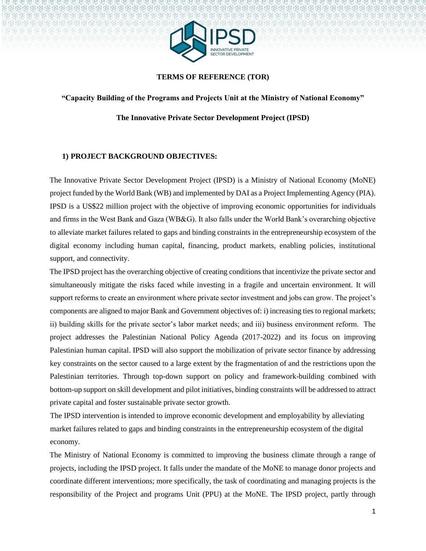

#### **TERMS OF REFERENCE (TOR)**

**"Capacity Building of the Programs and Projects Unit at the Ministry of National Economy"** 

**The Innovative Private Sector Development Project (IPSD)** 

#### **1) PROJECT BACKGROUND OBJECTIVES:**

The Innovative Private Sector Development Project (IPSD) is a Ministry of National Economy (MoNE) project funded by the World Bank (WB) and implemented by DAI as a Project Implementing Agency (PIA). IPSD is a US\$22 million project with the objective of improving economic opportunities for individuals and firms in the West Bank and Gaza (WB&G). It also falls under the World Bank's overarching objective to alleviate market failures related to gaps and binding constraints in the entrepreneurship ecosystem of the digital economy including human capital, financing, product markets, enabling policies, institutional support, and connectivity.

The IPSD project has the overarching objective of creating conditions that incentivize the private sector and simultaneously mitigate the risks faced while investing in a fragile and uncertain environment. It will support reforms to create an environment where private sector investment and jobs can grow. The project's components are aligned to major Bank and Government objectives of: i) increasing ties to regional markets; ii) building skills for the private sector's labor market needs; and iii) business environment reform. The project addresses the Palestinian National Policy Agenda (2017-2022) and its focus on improving Palestinian human capital. IPSD will also support the mobilization of private sector finance by addressing key constraints on the sector caused to a large extent by the fragmentation of and the restrictions upon the Palestinian territories. Through top-down support on policy and framework-building combined with bottom-up support on skill development and pilot initiatives, binding constraints will be addressed to attract private capital and foster sustainable private sector growth.

The IPSD intervention is intended to improve economic development and employability by alleviating market failures related to gaps and binding constraints in the entrepreneurship ecosystem of the digital economy.

The Ministry of National Economy is committed to improving the business climate through a range of projects, including the IPSD project. It falls under the mandate of the MoNE to manage donor projects and coordinate different interventions; more specifically, the task of coordinating and managing projects is the responsibility of the Project and programs Unit (PPU) at the MoNE. The IPSD project, partly through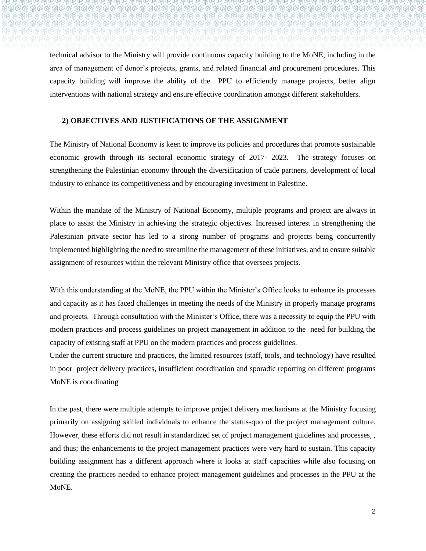technical advisor to the Ministry will provide continuous capacity building to the MoNE, including in the area of management of donor's projects, grants, and related financial and procurement procedures. This capacity building will improve the ability of the PPU to efficiently manage projects, better align

interventions with national strategy and ensure effective coordination amongst different stakeholders.

#### **2) OBJECTIVES AND JUSTIFICATIONS OF THE ASSIGNMENT**

The Ministry of National Economy is keen to improve its policies and procedures that promote sustainable economic growth through its sectoral economic strategy of 2017- 2023. The strategy focuses on strengthening the Palestinian economy through the diversification of trade partners, development of local industry to enhance its competitiveness and by encouraging investment in Palestine.

Within the mandate of the Ministry of National Economy, multiple programs and project are always in place to assist the Ministry in achieving the strategic objectives. Increased interest in strengthening the Palestinian private sector has led to a strong number of programs and projects being concurrently implemented highlighting the need to streamline the management of these initiatives, and to ensure suitable assignment of resources within the relevant Ministry office that oversees projects.

With this understanding at the MoNE, the PPU within the Minister's Office looks to enhance its processes and capacity as it has faced challenges in meeting the needs of the Ministry in properly manage programs and projects. Through consultation with the Minister's Office, there was a necessity to equip the PPU with modern practices and process guidelines on project management in addition to the need for building the capacity of existing staff at PPU on the modern practices and process guidelines.

Under the current structure and practices, the limited resources (staff, tools, and technology) have resulted in poor project delivery practices, insufficient coordination and sporadic reporting on different programs MoNE is coordinating

In the past, there were multiple attempts to improve project delivery mechanisms at the Ministry focusing primarily on assigning skilled individuals to enhance the status-quo of the project management culture. However, these efforts did not result in standardized set of project management guidelines and processes, , and thus; the enhancements to the project management practices were very hard to sustain. This capacity building assignment has a different approach where it looks at staff capacities while also focusing on creating the practices needed to enhance project management guidelines and processes in the PPU at the MoNE.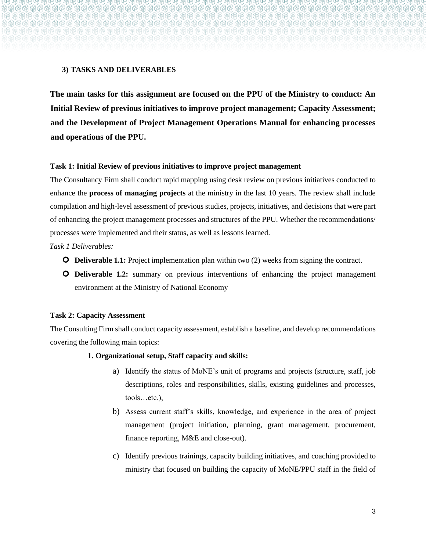### **3) TASKS AND DELIVERABLES**

**The main tasks for this assignment are focused on the PPU of the Ministry to conduct: An Initial Review of previous initiatives to improve project management; Capacity Assessment; and the Development of Project Management Operations Manual for enhancing processes and operations of the PPU.** 

#### **Task 1: Initial Review of previous initiatives to improve project management**

The Consultancy Firm shall conduct rapid mapping using desk review on previous initiatives conducted to enhance the **process of managing projects** at the ministry in the last 10 years. The review shall include compilation and high-level assessment of previous studies, projects, initiatives, and decisions that were part of enhancing the project management processes and structures of the PPU. Whether the recommendations/ processes were implemented and their status, as well as lessons learned.

#### *Task 1 Deliverables:*

- **O** Deliverable 1.1: Project implementation plan within two (2) weeks from signing the contract.
- **O** Deliverable 1.2: summary on previous interventions of enhancing the project management environment at the Ministry of National Economy

#### **Task 2: Capacity Assessment**

The Consulting Firm shall conduct capacity assessment, establish a baseline, and develop recommendations covering the following main topics:

#### **1. Organizational setup, Staff capacity and skills:**

- a) Identify the status of MoNE's unit of programs and projects (structure, staff, job descriptions, roles and responsibilities, skills, existing guidelines and processes, tools…etc.),
- b) Assess current staff's skills, knowledge, and experience in the area of project management (project initiation, planning, grant management, procurement, finance reporting, M&E and close-out).
- c) Identify previous trainings, capacity building initiatives, and coaching provided to ministry that focused on building the capacity of MoNE/PPU staff in the field of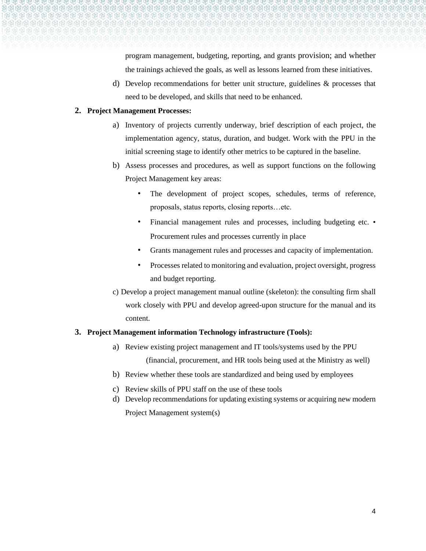program management, budgeting, reporting, and grants provision; and whether the trainings achieved the goals, as well as lessons learned from these initiatives.

d) Develop recommendations for better unit structure, guidelines & processes that need to be developed, and skills that need to be enhanced.

#### **2. Project Management Processes:**

- a) Inventory of projects currently underway, brief description of each project, the implementation agency, status, duration, and budget. Work with the PPU in the initial screening stage to identify other metrics to be captured in the baseline.
- b) Assess processes and procedures, as well as support functions on the following Project Management key areas:
	- The development of project scopes, schedules, terms of reference, proposals, status reports, closing reports…etc.
	- Financial management rules and processes, including budgeting etc. Procurement rules and processes currently in place
	- Grants management rules and processes and capacity of implementation.
	- Processes related to monitoring and evaluation, project oversight, progress and budget reporting.
- c) Develop a project management manual outline (skeleton): the consulting firm shall work closely with PPU and develop agreed-upon structure for the manual and its content.

#### **3. Project Management information Technology infrastructure (Tools):**

- a) Review existing project management and IT tools/systems used by the PPU (financial, procurement, and HR tools being used at the Ministry as well)
- b) Review whether these tools are standardized and being used by employees
- c) Review skills of PPU staff on the use of these tools
- d) Develop recommendations for updating existing systems or acquiring new modern Project Management system(s)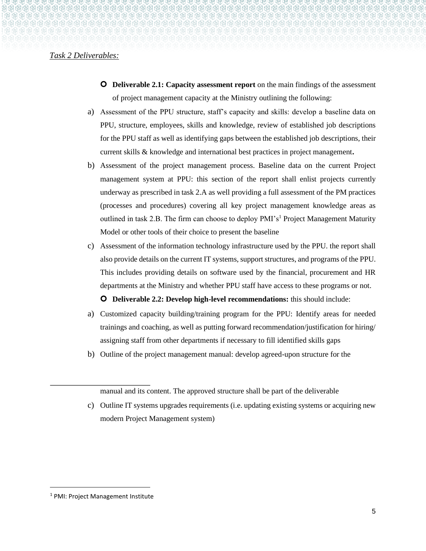#### *Task 2 Deliverables:*

- **O** Deliverable 2.1: Capacity assessment report on the main findings of the assessment of project management capacity at the Ministry outlining the following:
- a) Assessment of the PPU structure, staff's capacity and skills: develop a baseline data on PPU, structure, employees, skills and knowledge, review of established job descriptions for the PPU staff as well as identifying gaps between the established job descriptions, their current skills & knowledge and international best practices in project management**.**
- b) Assessment of the project management process. Baseline data on the current Project management system at PPU: this section of the report shall enlist projects currently underway as prescribed in task 2.A as well providing a full assessment of the PM practices (processes and procedures) covering all key project management knowledge areas as outlined in task 2.B. The firm can choose to deploy PMI's<sup>1</sup> Project Management Maturity Model or other tools of their choice to present the baseline
- c) Assessment of the information technology infrastructure used by the PPU. the report shall also provide details on the current IT systems, support structures, and programs of the PPU. This includes providing details on software used by the financial, procurement and HR departments at the Ministry and whether PPU staff have access to these programs or not.

#### **O** Deliverable 2.2: Develop high-level recommendations: this should include:

- a) Customized capacity building/training program for the PPU: Identify areas for needed trainings and coaching, as well as putting forward recommendation/justification for hiring/ assigning staff from other departments if necessary to fill identified skills gaps
- b) Outline of the project management manual: develop agreed-upon structure for the

manual and its content. The approved structure shall be part of the deliverable

c) Outline IT systems upgrades requirements (i.e. updating existing systems or acquiring new modern Project Management system)

<sup>1</sup> PMI: Project Management Institute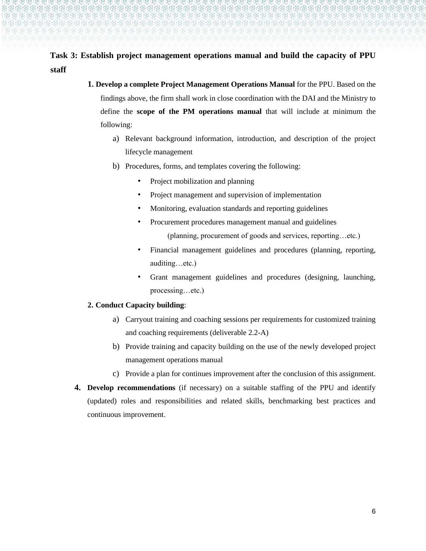# **Task 3: Establish project management operations manual and build the capacity of PPU staff**

- **1. Develop a complete Project Management Operations Manual** for the PPU. Based on the findings above, the firm shall work in close coordination with the DAI and the Ministry to define the **scope of the PM operations manual** that will include at minimum the following:
	- a) Relevant background information, introduction, and description of the project lifecycle management
	- b) Procedures, forms, and templates covering the following:
		- Project mobilization and planning
		- Project management and supervision of implementation
		- Monitoring, evaluation standards and reporting guidelines
		- Procurement procedures management manual and guidelines
			- (planning, procurement of goods and services, reporting…etc.)
		- Financial management guidelines and procedures (planning, reporting, auditing…etc.)
		- Grant management guidelines and procedures (designing, launching, processing…etc.)

#### **2. Conduct Capacity building**:

- a) Carryout training and coaching sessions per requirements for customized training and coaching requirements (deliverable 2.2-A)
- b) Provide training and capacity building on the use of the newly developed project management operations manual
- c) Provide a plan for continues improvement after the conclusion of this assignment.
- **4. Develop recommendations** (if necessary) on a suitable staffing of the PPU and identify (updated) roles and responsibilities and related skills, benchmarking best practices and continuous improvement.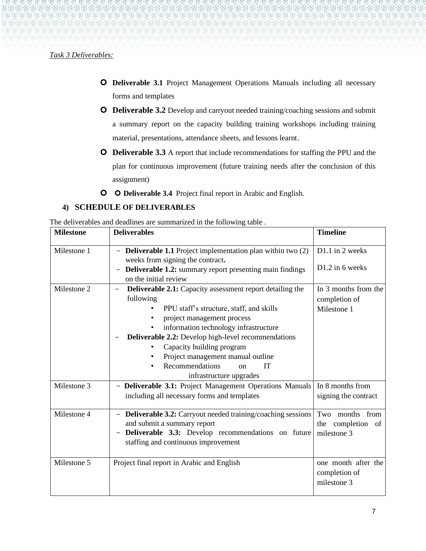#### *Task 3 Deliverables:*

- **Deliverable 3.1** Project Management Operations Manuals including all necessary forms and templates
- **O** Deliverable 3.2 Develop and carryout needed training/coaching sessions and submit a summary report on the capacity building training workshops including training material, presentations, attendance sheets, and lessons learnt.
- **O** Deliverable 3.3 A report that include recommendations for staffing the PPU and the plan for continuous improvement (future training needs after the conclusion of this assignment)
- **O O** Deliverable 3.4 Project final report in Arabic and English.

### **4) SCHEDULE OF DELIVERABLES**

The deliverables and deadlines are summarized in the following table .

| <b>Milestone</b> | <b>Deliverables</b>                                                                                                                                                                                                                                                                                                                                                                                            | <b>Timeline</b>                                      |
|------------------|----------------------------------------------------------------------------------------------------------------------------------------------------------------------------------------------------------------------------------------------------------------------------------------------------------------------------------------------------------------------------------------------------------------|------------------------------------------------------|
| Milestone 1      | <b>Deliverable 1.1</b> Project implementation plan within two (2)<br>weeks from signing the contract.                                                                                                                                                                                                                                                                                                          | D1.1 in 2 weeks                                      |
|                  | <b>Deliverable 1.2:</b> summary report presenting main findings<br>$\overline{\phantom{m}}$<br>on the initial review                                                                                                                                                                                                                                                                                           | D1.2 in 6 weeks                                      |
| Milestone 2      | <b>Deliverable 2.1:</b> Capacity assessment report detailing the<br>$\qquad \qquad -$<br>following<br>PPU staff's structure, staff, and skills<br>project management process<br>information technology infrastructure<br>Deliverable 2.2: Develop high-level recommendations<br>Capacity building program<br>Project management manual outline<br>Recommendations<br>IT<br>$\alpha$<br>infrastructure upgrades | In 3 months from the<br>completion of<br>Milestone 1 |
| Milestone 3      | - Deliverable 3.1: Project Management Operations Manuals<br>including all necessary forms and templates                                                                                                                                                                                                                                                                                                        | In 8 months from<br>signing the contract             |
| Milestone 4      | <b>Deliverable 3.2:</b> Carryout needed training/coaching sessions<br>$\qquad \qquad -$<br>and submit a summary report<br><b>Deliverable 3.3:</b> Develop recommendations on future<br>$\overline{\phantom{0}}$<br>staffing and continuous improvement                                                                                                                                                         | Two months from<br>the completion of<br>milestone 3  |
| Milestone 5      | Project final report in Arabic and English                                                                                                                                                                                                                                                                                                                                                                     | one month after the<br>completion of<br>milestone 3  |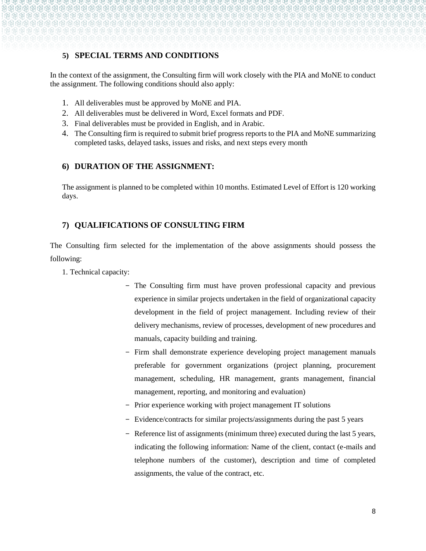## **5) SPECIAL TERMS AND CONDITIONS**

In the context of the assignment, the Consulting firm will work closely with the PIA and MoNE to conduct the assignment. The following conditions should also apply:

- 1. All deliverables must be approved by MoNE and PIA.
- 2. All deliverables must be delivered in Word, Excel formats and PDF.
- 3. Final deliverables must be provided in English, and in Arabic.
- 4. The Consulting firm is required to submit brief progress reports to the PIA and MoNE summarizing completed tasks, delayed tasks, issues and risks, and next steps every month

### **6) DURATION OF THE ASSIGNMENT:**

The assignment is planned to be completed within 10 months. Estimated Level of Effort is 120 working days.

# **7) QUALIFICATIONS OF CONSULTING FIRM**

The Consulting firm selected for the implementation of the above assignments should possess the following:

- 1. Technical capacity:
	- The Consulting firm must have proven professional capacity and previous experience in similar projects undertaken in the field of organizational capacity development in the field of project management. Including review of their delivery mechanisms, review of processes, development of new procedures and manuals, capacity building and training.
	- Firm shall demonstrate experience developing project management manuals preferable for government organizations (project planning, procurement management, scheduling, HR management, grants management, financial management, reporting, and monitoring and evaluation)
	- Prior experience working with project management IT solutions
	- Evidence/contracts for similar projects/assignments during the past 5 years
	- Reference list of assignments (minimum three) executed during the last 5 years, indicating the following information: Name of the client, contact (e-mails and telephone numbers of the customer), description and time of completed assignments, the value of the contract, etc.